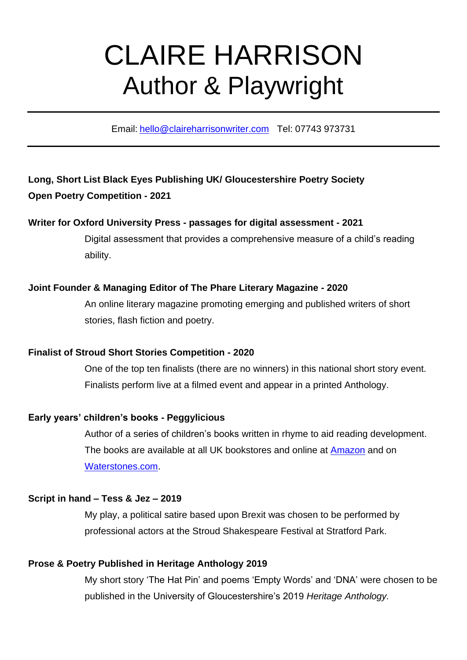# CLAIRE HARRISON Author & Playwright

Email: [hello@claireharrisonwriter.com](mailto:hello@claireharrisonwriter.com) Tel: 07743 973731

# **Long, Short List Black Eyes Publishing UK/ Gloucestershire Poetry Society Open Poetry Competition - 2021**

# **Writer for Oxford University Press - passages for digital assessment - 2021**

Digital assessment that provides a comprehensive measure of a child's reading ability.

## **Joint Founder & Managing Editor of The Phare Literary Magazine - 2020**

An online literary magazine promoting emerging and published writers of short stories, flash fiction and poetry.

### **Finalist of Stroud Short Stories Competition - 2020**

One of the top ten finalists (there are no winners) in this national short story event. Finalists perform live at a filmed event and appear in a printed Anthology.

# **Early years' children's books - Peggylicious**

Author of a series of children's books written in rhyme to aid reading development. The books are available at all UK bookstores and online at [Amazon](https://www.amazon.co.uk/s/ref=nb_sb_noss?url=search-alias%3Daps&field-keywords=peggylicious) and on [Waterstones.com.](https://www.waterstones.com/books/search/term/peggylicious)

### **Script in hand – Tess & Jez – 2019**

My play, a political satire based upon Brexit was chosen to be performed by professional actors at the Stroud Shakespeare Festival at Stratford Park.

# **Prose & Poetry Published in Heritage Anthology 2019**

My short story 'The Hat Pin' and poems 'Empty Words' and 'DNA' were chosen to be published in the University of Gloucestershire's 2019 *Heritage Anthology.*